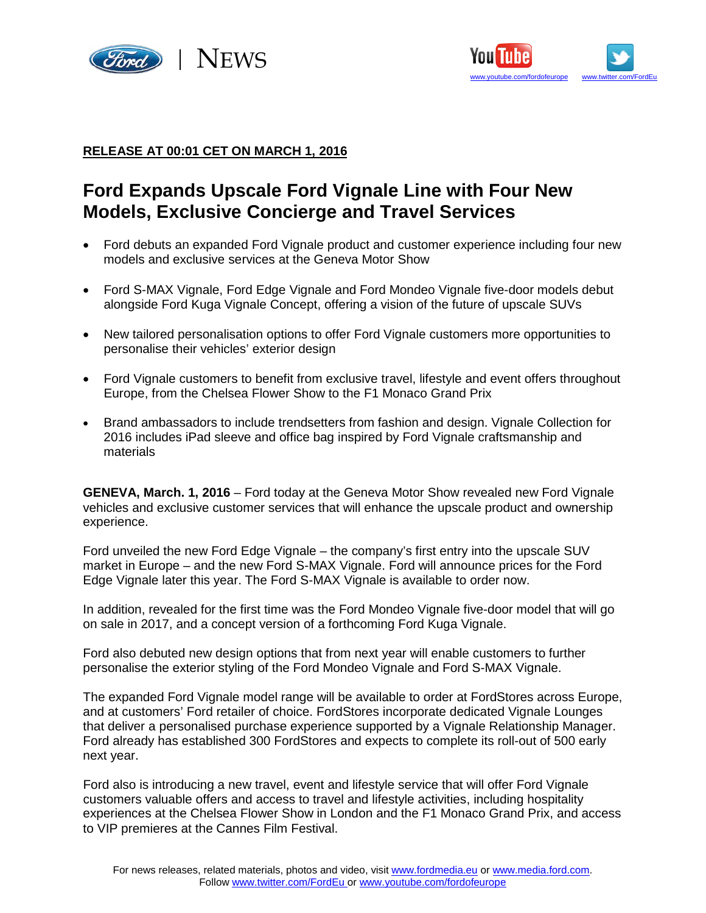



## **RELEASE AT 00:01 CET ON MARCH 1, 2016**

# **Ford Expands Upscale Ford Vignale Line with Four New Models, Exclusive Concierge and Travel Services**

- Ford debuts an expanded Ford Vignale product and customer experience including four new models and exclusive services at the Geneva Motor Show
- Ford S-MAX Vignale, Ford Edge Vignale and Ford Mondeo Vignale five-door models debut alongside Ford Kuga Vignale Concept, offering a vision of the future of upscale SUVs
- New tailored personalisation options to offer Ford Vignale customers more opportunities to personalise their vehicles' exterior design
- Ford Vignale customers to benefit from exclusive travel, lifestyle and event offers throughout Europe, from the Chelsea Flower Show to the F1 Monaco Grand Prix
- Brand ambassadors to include trendsetters from fashion and design. Vignale Collection for 2016 includes iPad sleeve and office bag inspired by Ford Vignale craftsmanship and materials

**GENEVA, March. 1, 2016** – Ford today at the Geneva Motor Show revealed new Ford Vignale vehicles and exclusive customer services that will enhance the upscale product and ownership experience.

Ford unveiled the new Ford Edge Vignale – the company's first entry into the upscale SUV market in Europe – and the new Ford S-MAX Vignale. Ford will announce prices for the Ford Edge Vignale later this year. The Ford S-MAX Vignale is available to order now.

In addition, revealed for the first time was the Ford Mondeo Vignale five-door model that will go on sale in 2017, and a concept version of a forthcoming Ford Kuga Vignale.

Ford also debuted new design options that from next year will enable customers to further personalise the exterior styling of the Ford Mondeo Vignale and Ford S-MAX Vignale.

The expanded Ford Vignale model range will be available to order at FordStores across Europe, and at customers' Ford retailer of choice. FordStores incorporate dedicated Vignale Lounges that deliver a personalised purchase experience supported by a Vignale Relationship Manager. Ford already has established 300 FordStores and expects to complete its roll-out of 500 early next year.

Ford also is introducing a new travel, event and lifestyle service that will offer Ford Vignale customers valuable offers and access to travel and lifestyle activities, including hospitality experiences at the Chelsea Flower Show in London and the F1 Monaco Grand Prix, and access to VIP premieres at the Cannes Film Festival.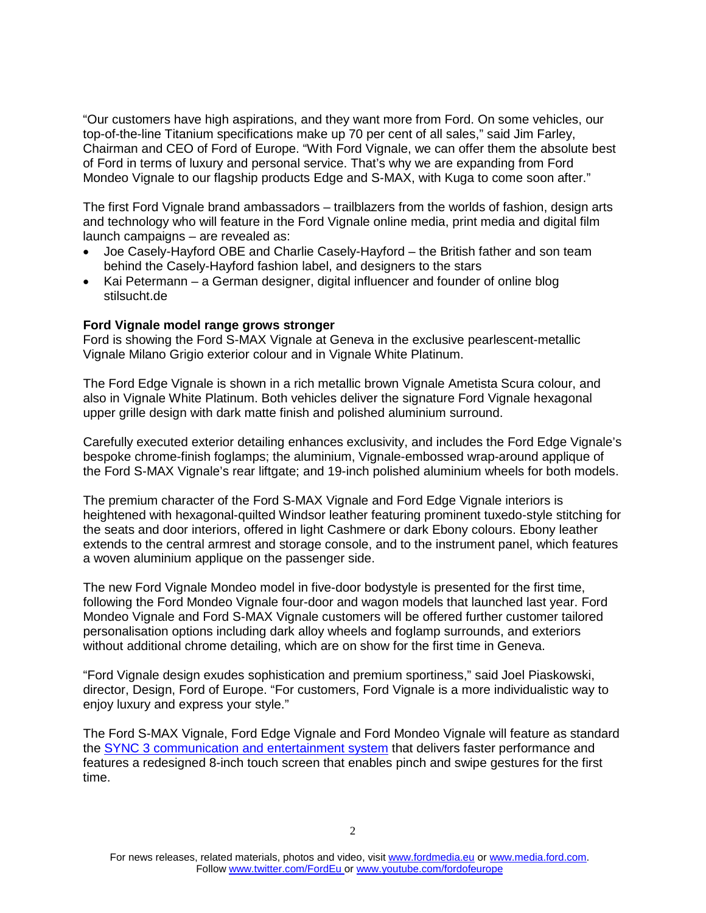"Our customers have high aspirations, and they want more from Ford. On some vehicles, our top-of-the-line Titanium specifications make up 70 per cent of all sales," said Jim Farley, Chairman and CEO of Ford of Europe. "With Ford Vignale, we can offer them the absolute best of Ford in terms of luxury and personal service. That's why we are expanding from Ford Mondeo Vignale to our flagship products Edge and S-MAX, with Kuga to come soon after."

The first Ford Vignale brand ambassadors – trailblazers from the worlds of fashion, design arts and technology who will feature in the Ford Vignale online media, print media and digital film launch campaigns – are revealed as:

- Joe Casely-Hayford OBE and Charlie Casely-Hayford the British father and son team behind the Casely-Hayford fashion label, and designers to the stars
- Kai Petermann a German designer, digital influencer and founder of online blog stilsucht.de

## **Ford Vignale model range grows stronger**

Ford is showing the Ford S-MAX Vignale at Geneva in the exclusive pearlescent-metallic Vignale Milano Grigio exterior colour and in Vignale White Platinum.

The Ford Edge Vignale is shown in a rich metallic brown Vignale Ametista Scura colour, and also in Vignale White Platinum. Both vehicles deliver the signature Ford Vignale hexagonal upper grille design with dark matte finish and polished aluminium surround.

Carefully executed exterior detailing enhances exclusivity, and includes the Ford Edge Vignale's bespoke chrome-finish foglamps; the aluminium, Vignale-embossed wrap-around applique of the Ford S-MAX Vignale's rear liftgate; and 19-inch polished aluminium wheels for both models.

The premium character of the Ford S-MAX Vignale and Ford Edge Vignale interiors is heightened with hexagonal-quilted Windsor leather featuring prominent tuxedo-style stitching for the seats and door interiors, offered in light Cashmere or dark Ebony colours. Ebony leather extends to the central armrest and storage console, and to the instrument panel, which features a woven aluminium applique on the passenger side.

The new Ford Vignale Mondeo model in five-door bodystyle is presented for the first time, following the Ford Mondeo Vignale four-door and wagon models that launched last year. Ford Mondeo Vignale and Ford S-MAX Vignale customers will be offered further customer tailored personalisation options including dark alloy wheels and foglamp surrounds, and exteriors without additional chrome detailing, which are on show for the first time in Geneva.

"Ford Vignale design exudes sophistication and premium sportiness," said Joel Piaskowski, director, Design, Ford of Europe. "For customers, Ford Vignale is a more individualistic way to enjoy luxury and express your style."

The Ford S-MAX Vignale, Ford Edge Vignale and Ford Mondeo Vignale will feature as standard the [SYNC 3 communication and entertainment system](https://media.ford.com/content/fordmedia/feu/en/news/2016/02/20/_i-need-a-coffee--drivers-just-say-the-word-to-find-cafes--fuel-.html) that delivers faster performance and features a redesigned 8-inch touch screen that enables pinch and swipe gestures for the first time.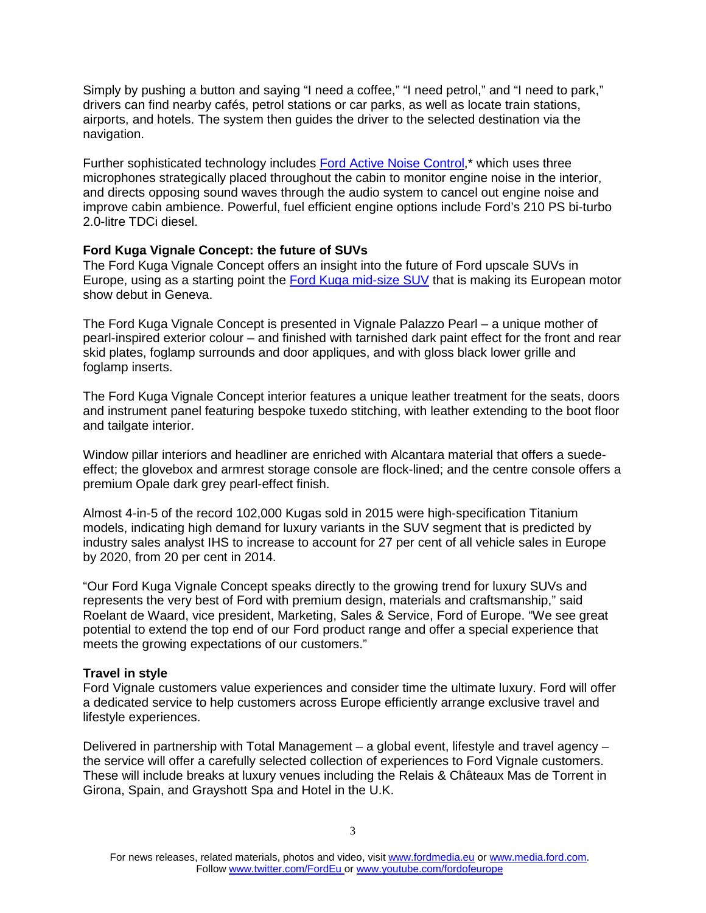Simply by pushing a button and saying "I need a coffee," "I need petrol," and "I need to park," drivers can find nearby cafés, petrol stations or car parks, as well as locate train stations, airports, and hotels. The system then guides the driver to the selected destination via the navigation.

Further sophisticated technology includes [Ford Active Noise Control,](https://www.youtube.com/watch?v=rRbMnCtxvXo)\* which uses three microphones strategically placed throughout the cabin to monitor engine noise in the interior, and directs opposing sound waves through the audio system to cancel out engine noise and improve cabin ambience. Powerful, fuel efficient engine options include Ford's 210 PS bi-turbo 2.0-litre TDCi diesel.

## **Ford Kuga Vignale Concept: the future of SUVs**

The Ford Kuga Vignale Concept offers an insight into the future of Ford upscale SUVs in Europe, using as a starting point the [Ford Kuga mid-size SUV](https://media.ford.com/content/fordmedia/feu/en/news/2016/02/20/ford-unveils-advanced--sporty-and-efficient-new-kuga-suv-with-sy.html) that is making its European motor show debut in Geneva.

The Ford Kuga Vignale Concept is presented in Vignale Palazzo Pearl – a unique mother of pearl-inspired exterior colour – and finished with tarnished dark paint effect for the front and rear skid plates, foglamp surrounds and door appliques, and with gloss black lower grille and foglamp inserts.

The Ford Kuga Vignale Concept interior features a unique leather treatment for the seats, doors and instrument panel featuring bespoke tuxedo stitching, with leather extending to the boot floor and tailgate interior.

Window pillar interiors and headliner are enriched with Alcantara material that offers a suedeeffect; the glovebox and armrest storage console are flock-lined; and the centre console offers a premium Opale dark grey pearl-effect finish.

Almost 4-in-5 of the record 102,000 Kugas sold in 2015 were high-specification Titanium models, indicating high demand for luxury variants in the SUV segment that is predicted by industry sales analyst IHS to increase to account for 27 per cent of all vehicle sales in Europe by 2020, from 20 per cent in 2014.

"Our Ford Kuga Vignale Concept speaks directly to the growing trend for luxury SUVs and represents the very best of Ford with premium design, materials and craftsmanship," said Roelant de Waard, vice president, Marketing, Sales & Service, Ford of Europe. "We see great potential to extend the top end of our Ford product range and offer a special experience that meets the growing expectations of our customers."

## **Travel in style**

Ford Vignale customers value experiences and consider time the ultimate luxury. Ford will offer a dedicated service to help customers across Europe efficiently arrange exclusive travel and lifestyle experiences.

Delivered in partnership with Total Management – a global event, lifestyle and travel agency – the service will offer a carefully selected collection of experiences to Ford Vignale customers. These will include breaks at luxury venues including the Relais & Châteaux Mas de Torrent in Girona, Spain, and Grayshott Spa and Hotel in the U.K.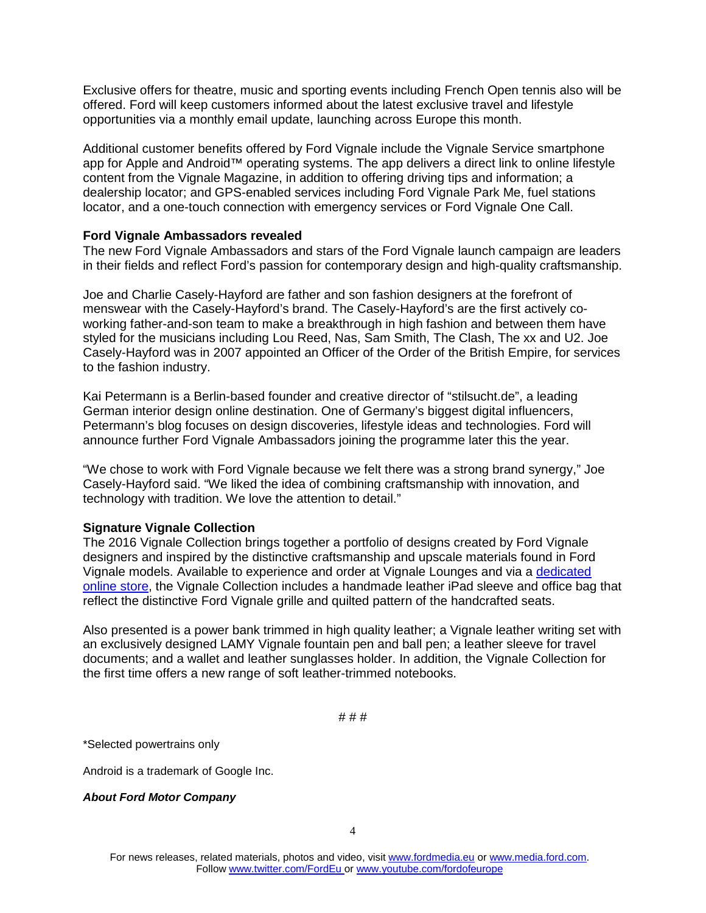Exclusive offers for theatre, music and sporting events including French Open tennis also will be offered. Ford will keep customers informed about the latest exclusive travel and lifestyle opportunities via a monthly email update, launching across Europe this month.

Additional customer benefits offered by Ford Vignale include the Vignale Service smartphone app for Apple and Android™ operating systems. The app delivers a direct link to online lifestyle content from the Vignale Magazine, in addition to offering driving tips and information; a dealership locator; and GPS-enabled services including Ford Vignale Park Me, fuel stations locator, and a one-touch connection with emergency services or Ford Vignale One Call.

## **Ford Vignale Ambassadors revealed**

The new Ford Vignale Ambassadors and stars of the Ford Vignale launch campaign are leaders in their fields and reflect Ford's passion for contemporary design and high-quality craftsmanship.

Joe and Charlie Casely-Hayford are father and son fashion designers at the forefront of menswear with the Casely-Hayford's brand. The Casely-Hayford's are the first actively coworking father-and-son team to make a breakthrough in high fashion and between them have styled for the musicians including Lou Reed, Nas, Sam Smith, The Clash, The xx and U2. Joe Casely-Hayford was in 2007 appointed an Officer of the Order of the British Empire, for services to the fashion industry.

Kai Petermann is a Berlin-based founder and creative director of "stilsucht.de", a leading German interior design online destination. One of Germany's biggest digital influencers, Petermann's blog focuses on design discoveries, lifestyle ideas and technologies. Ford will announce further Ford Vignale Ambassadors joining the programme later this the year.

"We chose to work with Ford Vignale because we felt there was a strong brand synergy," Joe Casely-Hayford said. "We liked the idea of combining craftsmanship with innovation, and technology with tradition. We love the attention to detail."

## **Signature Vignale Collection**

The 2016 Vignale Collection brings together a portfolio of designs created by Ford Vignale designers and inspired by the distinctive craftsmanship and upscale materials found in Ford Vignale models. Available to experience and order at Vignale Lounges and via a [dedicated](http://www.vignalecollection.com/)  [online store,](http://www.vignalecollection.com/) the Vignale Collection includes a handmade leather iPad sleeve and office bag that reflect the distinctive Ford Vignale grille and quilted pattern of the handcrafted seats.

Also presented is a power bank trimmed in high quality leather; a Vignale leather writing set with an exclusively designed LAMY Vignale fountain pen and ball pen; a leather sleeve for travel documents; and a wallet and leather sunglasses holder. In addition, the Vignale Collection for the first time offers a new range of soft leather-trimmed notebooks.

# # #

\*Selected powertrains only

Android is a trademark of Google Inc.

*About Ford Motor Company*